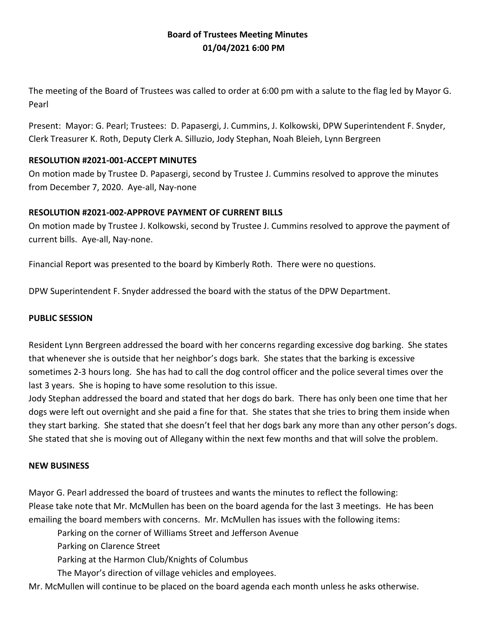# **Board of Trustees Meeting Minutes 01/04/2021 6:00 PM**

The meeting of the Board of Trustees was called to order at 6:00 pm with a salute to the flag led by Mayor G. Pearl

Present: Mayor: G. Pearl; Trustees: D. Papasergi, J. Cummins, J. Kolkowski, DPW Superintendent F. Snyder, Clerk Treasurer K. Roth, Deputy Clerk A. Silluzio, Jody Stephan, Noah Bleieh, Lynn Bergreen

## **RESOLUTION #2021-001-ACCEPT MINUTES**

On motion made by Trustee D. Papasergi, second by Trustee J. Cummins resolved to approve the minutes from December 7, 2020. Aye-all, Nay-none

# **RESOLUTION #2021-002-APPROVE PAYMENT OF CURRENT BILLS**

On motion made by Trustee J. Kolkowski, second by Trustee J. Cummins resolved to approve the payment of current bills. Aye-all, Nay-none.

Financial Report was presented to the board by Kimberly Roth. There were no questions.

DPW Superintendent F. Snyder addressed the board with the status of the DPW Department.

## **PUBLIC SESSION**

Resident Lynn Bergreen addressed the board with her concerns regarding excessive dog barking. She states that whenever she is outside that her neighbor's dogs bark. She states that the barking is excessive sometimes 2-3 hours long. She has had to call the dog control officer and the police several times over the last 3 years. She is hoping to have some resolution to this issue.

Jody Stephan addressed the board and stated that her dogs do bark. There has only been one time that her dogs were left out overnight and she paid a fine for that. She states that she tries to bring them inside when they start barking. She stated that she doesn't feel that her dogs bark any more than any other person's dogs. She stated that she is moving out of Allegany within the next few months and that will solve the problem.

#### **NEW BUSINESS**

Mayor G. Pearl addressed the board of trustees and wants the minutes to reflect the following: Please take note that Mr. McMullen has been on the board agenda for the last 3 meetings. He has been emailing the board members with concerns. Mr. McMullen has issues with the following items:

Parking on the corner of Williams Street and Jefferson Avenue

Parking on Clarence Street

Parking at the Harmon Club/Knights of Columbus

The Mayor's direction of village vehicles and employees.

Mr. McMullen will continue to be placed on the board agenda each month unless he asks otherwise.